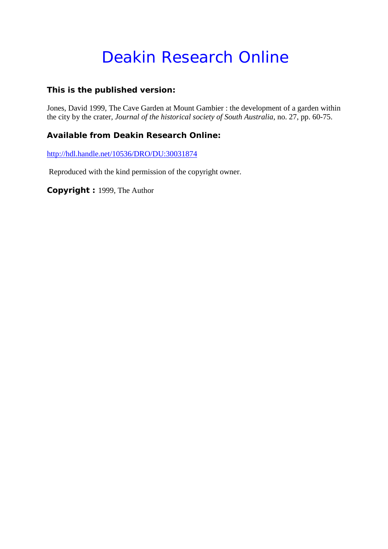# Deakin Research Online

# **This is the published version:**

Jones, David 1999, The Cave Garden at Mount Gambier : the development of a garden within the city by the crater*, Journal of the historical society of South Australia*, no. 27, pp. 60-75.

# **Available from Deakin Research Online:**

<http://hdl.handle.net/10536/DRO/DU:30031874>

Reproduced with the kind permission of the copyright owner.

**Copyright :** 1999, The Author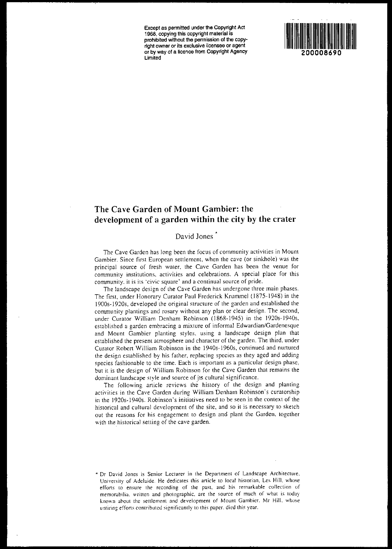Except as permitted under the Copyright Act 1968, copying this copyright material is prohibited without the pennission of the copyright owner or its exclusive licensee or agent or by way of a licence from Copyright Agency Limited



# The Cave Garden of Mount Gambier: the development of a garden within the city by the crater

#### David Jones<sup>7</sup>

The Cave Garden has long been the focus of community activities in Moum Gambier. Since first European settlement, when the cave (or sinkhole) was the principal source of fresh water, the Cave Garden has been the venue for community institutions. activities and celebrations. A special place for this community. it is its 'civic square' and a continual source of pride.

The landscape design of the Cave Garden has undergone three main phases. The first. under Honorary Curator Paul Frederick Krummel (J 875- J948) in the 1900s-1920s, developed the original structure of the garden and established the community plantings and rosary without any plan or clear design. The second, under Curator William Denham Robinson (1868-1945) in the 1920s-1940s. established a garden embracing a mixture of informal Edwardian/Gardenesque and Mount Gambier planting styles. using a landscape design plan that established the present atmosphere and character of the garden. The third, under Curator Robcrt William Robinson in the 1940s-1960s, continued and nurtured the design established by his father, replacing species as they aged and adding species fashionable to the time. Each is important as a particular design phase, but it is the design of William Robinson for the Cave Garden that remains the dominant landscape style and source of its cultural significance.

The following article reviews the history of the design and planting activities in the Cave Garden during William Denham Robinson's curatorship in the 19205·19405. Robinson's initiatives need to be seen in the context of the historical and cultural development of the site, and so it is necessary to sketch out the reasons for his engagement to design and plant the Garden. together with the historical setting of the cave garden.

<sup>\*</sup> Or Oavid Jones IS Senior Lecturer In the Oepanmem of Landscape Architecture, University of Adelaide. He dedicates this article to local historian, Les Hill, whose efforts to ensure the recording of the past, and his remarkable collection of memorabilia, written and photographic, are the source of much of what is today known about the settlement and development of Mount Gambier. Mr Hill, whose untiring efforts contributed significantly to this paper, died this year.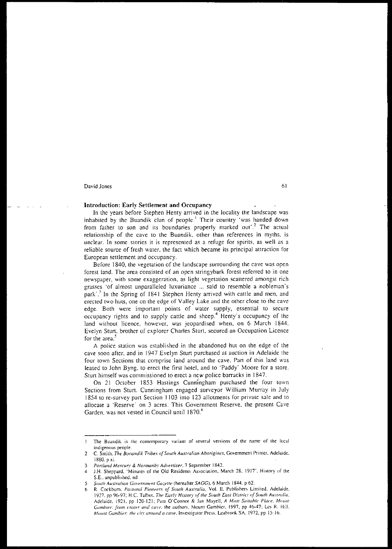#### Introduction: Early Settlement and Occupancy

In the years before Stephen Henty arrived in the locality the landscape was inhabited by the Buandik cian of people.' Their country 'was handed down from father to son and its boundaries properly marked out'.<sup>2</sup> The actual relationship of the cave to the Buandik, other than references in myths, is unclear. In some stories it is represented as a refuge for spirits, as well as a reliable source of fresh water. the fact which became its principal attraction for European settlement and occupancy.

Before 1840, the vegetation of the landscape surrounding the cave was open forest land. The area consisted of an open stringybark forest referred to in one newspaper, with some exaggeration, as light vegetation scattered amongst rich grasses 'of almost unparalleled luxuriance ... said to resemble a nobleman's park'.<sup>3</sup> In the Spring of 1841 Stephen Henty arrived with cattle and men, and erected two huts, one on the edge of Valley Lake and the other close to the cave edge. Both were important points of water supply, essential to secure occupancy rights and to supply cattle and sheep.4 Henty's occupancy of the land without licence, however, was jeopardised when, on 6 March 1844, Evelyn Sturt. brother of explorer Charles Sturt, secured an Occupation Licence for the area.<sup>2</sup>

A police station was established in the abandoned hut on the edge of the cave soon after, and in 1947 Evelyn Srurt purchased at auction in Adelaide the four town Sections that comprise land around the cave. Part of this land was leased to John Byng, to erect the first hotel, and to 'Paddy' Moore for a store. Stun himself was commissioned to erect a new police barracks in 1847.

On 21 October 1853 Hastings Cunni'ngham purchased the four town Sections from Sturt. Cunningham engaged surveyor William Murray in July 1854 to re-survey part Section 1103 into 123 allotments for private sale and to allocate a 'Reserve' on 3 acres. This Government Reserve, the present Cave Garden, was not vested in Council until 1870.<sup>6</sup>

The Buandik is the contemporary variant of several versions of the name of the local  $\mathbf{I}$ indigenous people.

<sup>2</sup> C. Smith. *The Booandik Tribes of South Australian Aborigines*, Government Printer, Adelaide. 1880. p xi.

<sup>3</sup> *Portland Mercury & Normanby Advertiser*, 7 September 1842.

<sup>4</sup> J.H. Sheppard, 'Minutes of the Old Residents Association, March 28, 1917', History of the S.E., unpublished. nd.

S *Smllh Australian COI't'Tnnlt>1l1 Ca::.ellt:* (hereafter *SAGG),* 6 March 1844. p 62.

<sup>6</sup> R. Cockbum. *Pa.\toral Pi0!1el'T5 of Sowh AU5tralia.* Vo!. 11. Puhlishers Limited. Adelaide. 1927, pr 96-97; H.C. Talhol, *The Early HislOr:;* (!{ *the SoUlh Easl Vis/ricl of SoUlh All.I'lrulia.* Adelaide. 1921. pp 120-121: Pam O'Connor & Jan Mayell, A Most Suitable Pluce. Mount *Gambier: from crater and cuve*, the authors, Mount Gambier, 1997, pp 46-47; Les R. Hill. Mount Gambier: the city around a cave, Investigator Press, Leabrook SA, 1972, pp 15-16.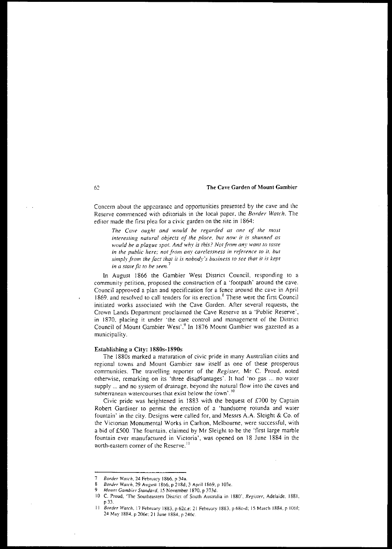Concern about the appearance and opportunities presented by the cave and the Reserve commenced with editorials in the local paper. the *Border Watch.* The editor made the first plea for a civic garden on the site in 1864:

*The Cave oup,ht and would be regarded as one of the most interesting natural objects of the place, but* nO\1' *it is shunned as would be a plague spot. And why* is *this? Not from any want to taste in the public here; not from any carelessness in reference to if, but simply from the fact that it is nobody's business to see that it is kept in a stale fit to be seen. <sup>7</sup>*

In August 1866 the Gambier West District Council, responding to a community petition, proposed the construction of a 'footpath' around the cave. Council approved a plan and specification for a fence around the cave in April 1869, and resolved to call tenders for its erection.<sup>8</sup> These were the first Council initiated works associated with the Cave Garden. After several requests, the Crown Lands Department proclaimed the Cave Reserve as a 'Public Reserve', in 1870, placing it under 'the care control and management of the District Council of Mount Gambier West'.9 In 1876 Mount Gambier was gazetted as a municipality.

#### Establishing a City: 1880s-1890s

The 18805 marked a maturation of civic pride in many Australian cities and regional towns and Mount Gambier saw itself as one of these prosperous communities. The travelling reporter of the *Register,* Mr C. Proud. noted otherwise, remarking on its 'three disadvantages'. It had 'no gas ... no water supply ... and no system of drainage. beyond the natural flow into the caves and subterranean watercourses that exist below the lown'.<sup>10</sup>

Civic pride was heightened in 1883 with the bequest of £700 by Captain Robert Gardiner to permit the erection of a 'handsome rotunda and water fountain' in the city. Designs were called for, and Messrs A.A. Sleight & Co. of the Victorian Monumental Works in Carlton, Melbourne, were successful, with a bid of £500. The fountain, claimed by Mr Sleight to be the 'first large marble fountain ever manufactured in Victoria', was opened on 18 June 1884 in the north-eastern corner of the Reserve.<sup>11</sup>

62

<sup>7</sup> *Border Wmch,* 24 February 1866. p 34a.

<sup>8</sup> *Border Watch,* 29 August 1866, P 218d; 3 April 1869. p I03e.

*Mount Gambier Standard,* 15 November 1870, p 373d.

<sup>10</sup> C. Proud, 'The Southeastern District of South Australia in 1880', Register, Adelaide, 1881. p JJ.

<sup>11</sup> *Border Watch*, 17 February 1883, p 62c.e: 21 February 1883, p 68c-d; 15 March 1884, p 106f; 24 May 1884, p 206e; 21 June 1884, p 246c.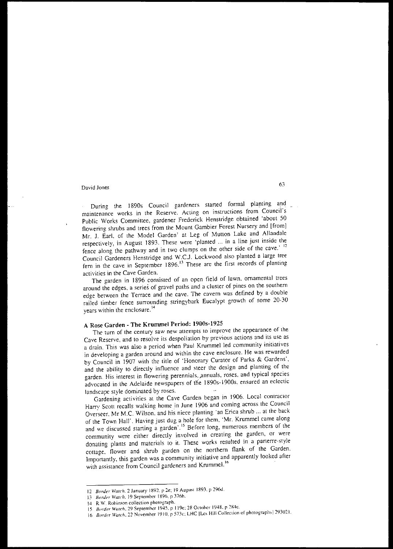During the I890s Council gardeners started fonnal planting and maintenance works in the Reserve. Acting on instructions from Council's Public Works Committee, gardener Frederick Henslridge obtained 'about 50 flowering shrubs and trees from the Mount Gambier Forest Nursery and [from] Mr. J. Earl, of the Model Garden' at Leg of Mutton Lake and Allandale respectively, in August 1893. These were 'planted ... in a line just inside the fence along the pathway and in two clumps on the other side of the cave.' <sup>12</sup> Council Gardeners Henstridge and W.C.!. Lockwood also planted a large tree fern in the cave in September 1896.<sup>13</sup> These are the first records of planting activities in the Cave Garden.

The garden in J896 consisted of an open field of lawn, ornamental trees around the edges, a series of gravel paths and a cluster of pines on the southern edge between the Terrace and the cave. The cavern was defined by a double railed timber fence surrounding stringybark Eucalypt growth of some 20~30 years within the enclosure.<sup>14</sup>

## A Rose Garden - The Krummel Period: 19005-1925

The turn of the century saw new attempts to improve the appearance of the Cave Reserve, and to resolve its despoliation by previous actions and its use as a drain. This was also a period when Paul Krummel led community initiatives in developing a garden around and within the cave enclosure. He was rewarded by Council in 1907 with the title of 'Honorary Curator of Parks & Gardens', and the ability to directly influence and steer the design and planting of the garden. His interest in flowering perennials, annuals, roses, and typical species advocated in the Adelaide newspapers of the 1890s-1900s, ensured an eclectic landscape style dominated by roses,

Gardening activities at the Cave Garden began in 1906. Local contractor Harry Scott recalls walking home in June 1906 and coming across the Council Overseer. Mr M.C. Wilson. and his niece planting 'an Erica shrub ... at the back of the Town Hall', Having just dug a hole for them, 'Mr, Krummel came along and we discussed starting a garden<sup>'.15</sup> Before long, numerous members of the community were either directly involved in creating the garden, or were donating plams and materials to it. These works resulted in a parterre-style cottage, flower and shrub garden on the northern flank of the Garden, Importantly, this garden was a community initiative and apparently looked after with assistance from Council gardeners and Krummel.<sup>16</sup>

<sup>12</sup> *Border Watch*, 2 January 1892, p 2e: 19 August 1893, p 296d.

<sup>13</sup> *Border Watch*, 19 September 1896, p 376h.

<sup>\4</sup> R,W Rohinson collection photograph.

<sup>15</sup> *Border Wulch.* 29 September 1945. p 119e: 28 October 1948. p 284c.

<sup>16</sup> *Border Watch*. 22 November 1910, p 573c; LHC [Les Hill Collection of photographs] 293021.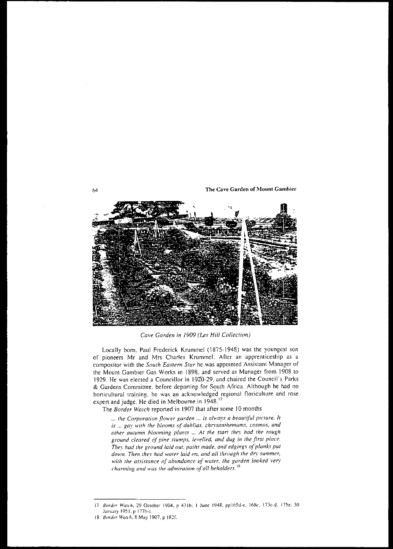64 **The** Cave **Garden of Mount Gambier**



*Cave Garden in 1909 (Les Hill Collection)*

Locally born, Paul Frederick Krumme1 (1875-1948) was the youngest son of pioneers Mr and Mrs Charles Krummel. After an apprenticeship as a compositor with the *SOUTh Eastern Slar* he was appointed Assistant Manager of the Mount Gambier Gas Works in 1898, and served as Manager from 1908 to 1929. He was elected a Councillor in 1920-29, and chaired the Council's Parks & Gardens Committee, before departing for South Africa. Although he had no horticultural training. he was an acknowledged regional floriculture and rose expert and judge. He died in Melbourne in 1948.<sup>17</sup>

The *Border Watch* reported in 1907 that afler some 10 months

... *the Corporation flower garden* ... is *always a beautiful picture.* It *is* ... *gay u,;th The blooms of dahlias, chrysanthemums, cosmos, and other autumn blooming plants* ... *At the* starl *they had the rough ground cleared of pine STumps, levelled, and dug in the first place. They had the ground laid out, paths made, and edgings of planks pUT dm....n. Then They had waTer laid on, and all through The dry summer, with the assistance of ahundance of* wafer, *the garden looked* very *charming and was the admiration of all beholders.*<sup>18</sup>

<sup>17</sup> *Border Walch,* 29 October 1904. p 431h: I June 1948. ppl65J-e, 168e. 173c-J. 175e: 30 January 1951, p 177h-c.

<sup>18</sup> *lJorder Watch,* 8 May 1907. P 182f.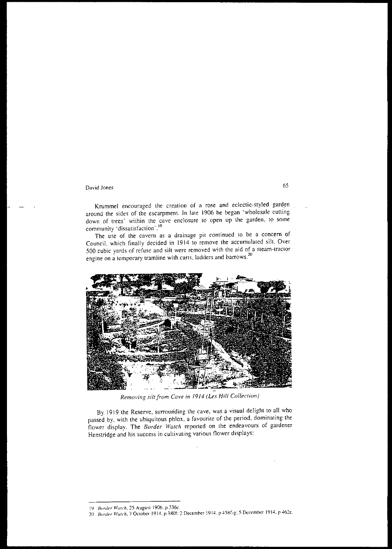Krummel encouraged the creation of a rose and eclectic-styled garden around the sides of the escarpment. In lale 1906 he began 'wholesale cutting down of trees' within the cave enclosure to open up the garden, to some community 'dissatisfaction'.<sup>19</sup>

The use of the cavern as a drainage pit continued to be a concern of Council, which finally decided in 1914 to remove the accumulated silt. Over 500 cubic yards of refuse and silt were removed with the aid of a steam-tractor engine on a temporary tramline with carts, ladders and barrows.2o



*Removing siltfram Cave in* 1914 *(Les Hill Collection)*

By 1919 the Reserve, surrounding the cave, was a visual delight to all who passed by. with the ubiquitous phlox. a favourite of the period. dominating the flower display. The *Border Watch* reported on the endeavours of gardener Henstridge and his success in cultivating various flower displays:

<sup>19&</sup>lt;sup>Border</sup> Watch, 25 August 1906, p 336e.

<sup>20</sup> Border Watch. 7 October 1914. p 380f: 2 December 1914. p 458f-g: 5 December 1914. p 462e.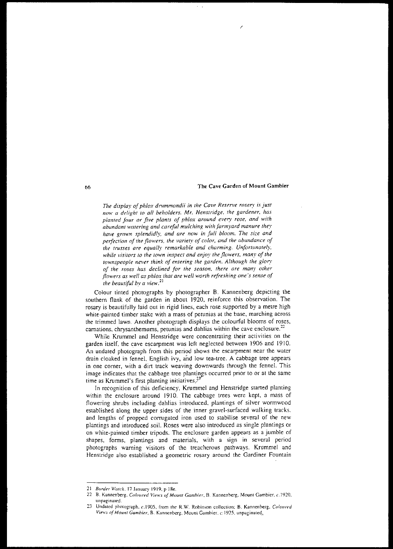*The display oJ phlox drummondii in the Cave Reserve msery is juS!* 'IOwa *delight to* aIJ *beholders. Mr. Henslridge. the gardener, has plan/ed jour or five plants of phlox around eve')' rose, and with abundant watering and careful mulching with farmyard manure they have grown splendidly, and are now in full bloom. The size and peifection of the flowers, the variety of color, and (he abundance of the trusses are equally remarkable and charming. Unfortunately, while visitors <sup>10</sup> the town inspect and enjoy the flowers, man)' of the townspeople never think of entering the garden. Although the glory of the roses has declined for the season, there are many olher flowers as well as phlox that are well worth refreshing one's sense of the beautiful by a view.* <sup>21</sup>

Colour tinted photographs by photographer B. Kannenberg depicting the southern flank of the garden in about 1920, reinforce this observation. The rosary is beautifully laid out in rigid lines, each rose supported by a metre high white-painted timber stake with a mass of petunias at the base, marching across the trimmed lawn. Another photograph displays the colourful blooms of roses, carnations, chrysanthemums, petunias and dahlias within the cave enclosure. $22$ 

While Krummel and Henstridge were concentrating their activities on the garden itself, the cave escarpment was left neglected between 1906 and 1910. An undated photograph from this period shows the escarpment near the water drain cloaked in fennel, English ivy, and low tea-tree. A cabbage tree appears in one corner, with a dirt track weaving downwards through the fennel. This image indicates that the cabbage tree plantings occurred prior to or at the same time as Krummel's first planting initiatives. $3<sup>23</sup>$ 

In recognition of this deficiency, Krummel and Henstridge started planting within the enclosure around 1910. The cabbage trees were kept, a mass of flowering shrubs including dahlias introduced, plantings of silver wormwood established along the upper sides 'of the inner gravel-surfaced walking tracks. and lengths of propped corrugated iron used to stabilise several of the new plantings and introduced soil. Roses were also introduced as single plantings or on white-painted timber tripods. The enclosure garden appears as a jumble of shapes, forms, plantings and materials, with a sign in several period photographs warning visitors of the treacherous pathways. Krummel and Henstridge also established a geometric rosary around the Gardiner Fountain

*<sup>21</sup> Border Wo/ch,* 17 January 1919. p IRe.

<sup>22</sup> B. Kannenberg, *Coloured Views of Mount Gambier*, B. Kannenberg, Mount Gambier, *c.* 1920, unpaginated.

<sup>23</sup> Undated photograph. c.1905, from the R.W. Robinson collection; B. Kannenberg, Coloured *View.\ ofMoullt Gambier.* B. Kannenherg, Mount Gamhier. c. 1925, unpaginatcd.>-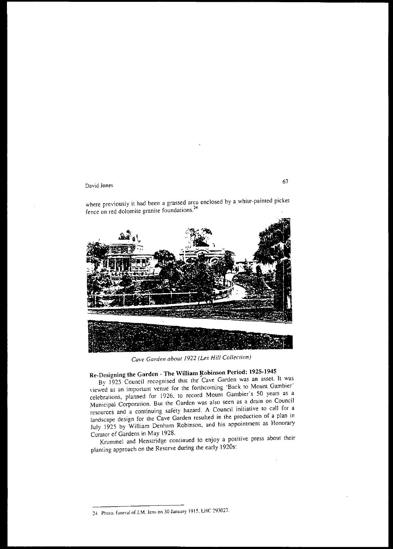where previously it had been a grassed area enclosed by a white-painted picket fence on red dolomite granite foundations. <sup>24</sup>



*Cave Garden abour* 1922 *(Les Hill Collec/ion)*

# Re-Designing the Garden - The William Robinson Period: 1925-1945

By 1925 Council recognised that the Cave Garden was an asset. It was \'iewed as an important venue for the forthcoming 'Back to Mount Gambier' celebrations, planned for 1926. to record Mount Gambier"s 50 years as a Municipal Corporation. But the Garden was also seen as a drain on Council resources and a continuing safety hazard. A Council initiative to call for a landscape design for the Cave Garden resulted in the production of a plan in July 1925 by William Denham Robinson, and his appointment as Honorary Curator of Gardens in May] 928.

Krummel and Henstridge continued to enjoy a positive press about their planting approach on the Reserve during the early 1920s:

67

<sup>::4</sup> PholO. funeral of J.M. Jens on 30 January 1915. LHC 293027.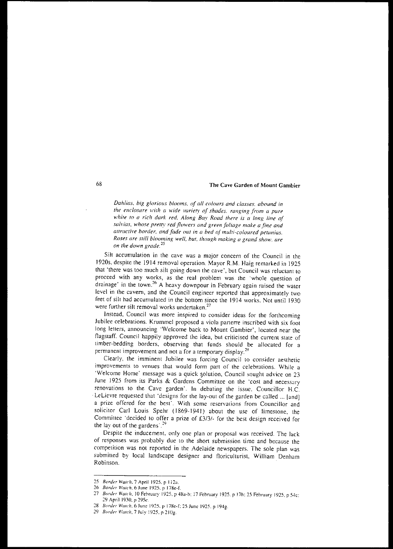*Dahlias, big glorious blooms, of all colours and classes, abound in the enclosure WiTh a wide variety of shades. ranging from a pure white to a rich dark red. Along Bay Road there is a long line of .w/vias, }!,hose pretty red powers and green foliage make a fine and affractive border, and fade out in a bed of Inulti-coloured perunias. Roses are still blooming well, hut, tlumgh making a grand show. ore on the down grade. <sup>25</sup>*

Silt accumulation in the cave was a major concern of the Council in the 19205, despite the 1914 removal operation. Mayor R.M. Haig remarked in 1925 that 'there was too much silt going down the cave', but Council was reluctant to proceed with any works, as the real problem was the 'whole question of drainage' in the town.<sup>26</sup> A heavy downpour in February again raised the water level in the cavern, and the Council engineer reported thal approximately two feet of sill had accumulated in the bottom since the 1914 works. Not until 1930 were further silt removal works undertaken.<sup>27</sup>

Instead, Council was more inspired to consider ideas for the forthcoming Jubilee celebrations. Krummcl proposed a viola parterre inscribed with six foot long letters, announcing 'Welcome back to Mount Gambier', located near the flagstaff. Council happily approved the idea, but criticised the current state of timber-bedding borders, observing that funds should be allocated for a permanent improvement and not a for a temporary display.<sup>28</sup>

Clearly, the imminent Jubilee was forcing Council to consider aesthetic improvements to venues that would form part of the celebrations. While a 'Welcome Home' message was a quick solution, Council sought advice on 23 June 1925 from its Parks & Gardens Committee on the 'cost and necessary renovations 10 the Cave garden'. In debaling the issue. Councillor H.C. LeLievre requested that 'designs for the lay-out of the garden be called ... [and] a prize offered for the best'. With some reservations from Councillor and solicitor Carl Louis Spehr (1869-1941) about the use of limestone, the Committee 'decided to offer a prize of £3/3/- for the best design received for the lay out of the gardens.<sup>29</sup>

Despite the inducement, only one plan or proposal was received. The lack of responses was probably due to the short submission time and because the compelition was not reported in the Adelaide newspapers. The sole plan was submitted by local landscape designer and floriculturist, William Denham Robinson.

<sup>25</sup> *Border Watch*, 7 April 1925, p 112a.

<sup>26</sup> *Border Watch*, 6 June 1925, p 178e-f.

<sup>27</sup> *Border Watch*, 10 February 1925, p 48a-b; 17 February 1925, p 17h; 25 February 1925, p 54c; ~9 April 1930. p 29Se

*<sup>28</sup> Border Wwch,* 6 June 1925. p I78e-[; 25 June 1925. p 1949.

<sup>29</sup> *Border Watch*, 7 July 1925, p 210g.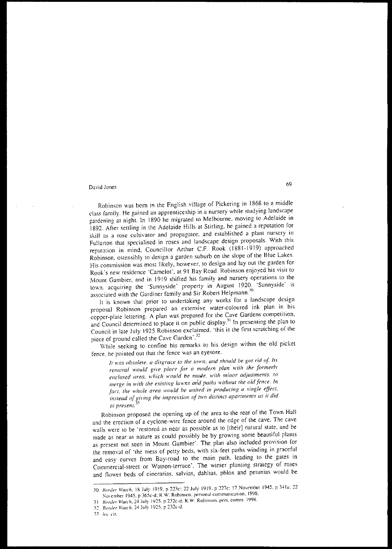Robinson was born in the English.village of Pickering in 1868 to a middle class family. He gained an apprenticeship in a nursery while studying landscape gardening at night. In 1890 he migrated 10 Melbourne. moving to Adelaide in 1892. After settling in the Adelaide Hills at Stirling. he gained a reputation for skill as a rose cultivator and propagator. and established a plant nursery in Fullarton that specialised in roses and landscape design proposals. With this reputation in mind, Councillor Arthur C.F. Rook (1881-1919) approached Robinson. ostensibly to design a garden suburb on the slope of the Blue Lakes. His commission was most likely, however, to design and layout the garden for Rook's new residence 'Camelot', at 91 Bay Road. Robinson enjoyed his visit to Mount Gambier. and in 1919 shifted his family and nursery operations to the town. acquiring the 'Sunnyside' property in August 1920. 'Sunnysidc' is associated with the Gardiner family and Sir Robert Helpmann. 3o

It is known that prior to undertaking any works for a landscape design proposal Robinson prepared an extensive water-coloured ink plan in his copper-plate lettering. A plan was prepared for the Cave Gnrdens competition. and Council determined to place it on public display.<sup>31</sup> In presenting the plan to Council in late July 1925 Robinson exclaimed. 'this is the first scratching of the piece of ground called the Cave Garden<sup>'.32</sup>

While seeking to confine his remarks to his design within the old picket fence, he pointed out that the fence was an eyesore.

It *\\'as obsolete. a disgrace* <sup>10</sup> *the town, and should be got rid of Its removal would give place for a modern plan with the formerly enclosed area, which would be made, with minor adjustments.* 10 *merge* in with the existing lawns and paths without the old fence. In *Iacr, the whole area would he united in Froducinf!, a single effecI, instead of giving the impression of two distinct apartments as it did at present. <sup>33</sup>*

Robinson proposed the opening up of the area <sup>10</sup> the rear of the Town Hall and the erection of a cyclone-wire fence around the edge of the cave. The cave walls were to be 'restored as near as possible as to [their] natural state, and be made as near as nature as could possibly be by growing some beautiful plants as present not seen in Mount Garnbier·. The plan also included provision for the removal of 'the mess of petty beds, with six-feet paths winding in graceful and easy curves from Bay-road to the main path. leading to the gates in Commercial-street or Watson-terrace'. The winter planting strategy of roses and flower beds of cinerarias, salvias, dahlias, phlox and petunias would be

<sup>30</sup> Border Watch, 18 July 1919, p 223c; 22 July 1919, p 227c; 17 November 1945, p 341a; 22 November 1945, p 365c-d: R,W. Rohinson, personal communication. 1998.

<sup>31</sup> Border Watch. 24 July 1925. p 232c-d: R.W. Robinson. pers. comm. 1998.

*Hor.ia WlItrh.* 24 July 1925. P 232c-d.

*lu( cil.*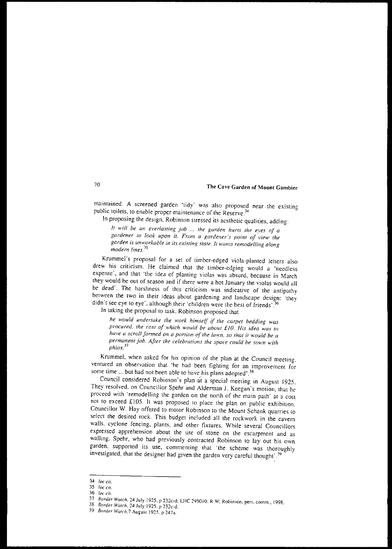maintained. A screened garden 'tidy' was also proposed near the existing public toilets, to enable proper maintenance of the Reserve.<sup>3</sup>

In proposing the design. Robinson stressed its aesthetic qualities, adding:

*If will be an el'erlasfing job the garden hurts the eyes of a gardener* <sup>10</sup> *look upon* il. *From a gardener's poinr of view the garden* is *unworkable in its exisling stare. It wants remodelling along modern lines.* <sup>35</sup>

Krummel's proposal for a set of limber-edged viola-planted letters also drew his criticism. He claimed thal the timber-edging would a 'needless expense', and that 'the idea of planting violas was absurd, because in March they would be out of season and if there were a hot January the violas would all be dead', The harshness of this criticism was indicative of the antipathy between the two in their ideas about gardening and landscape design: 'they didn't see eye to eye', although their 'children were the best of friends'.

In taking the proposal to task. Robinson proposed that

*he would undertake the work himself* if *the carpet bedding was procured, the cost of "....hich would be about {lO. His idea was to have a scroll formed on a portion of the lawn, so that it would be a permanent job. After the celebrations the space could be sown with*  $phlox.<sup>37</sup>$ 

Krummel, when asked for his opinion of the plan at the Council meeting, ventured an observation that 'he had been fighting for an improvement for some time ... but had not been able to have his plans adopted'.<sup>38</sup>

Council considered Robinson's plan at a special meeting in August 1925. They resolved, on Councillor Spehr and Alderman J. Keegan's motion, that he proceed with 'remodelling the garden on the north of the main path' at a cost not to exceed £105. It was proposed to place the plan on public exhibition. Councillor W. Hay offered to motor Robinson to the Mount Schank quarries to select the desired rock. This budget included all the rockwork in the cavern walls, cyclone fencing, plams, and other fixtures. While several Councillors expressed apprehension about the use of stone on the escarpment and as walling. Spehr, who had previously contracted Robinson to lay out his own garden, supported its use, commenting that 'the scheme was thoroughly investigated, that the designer had given the garden very careful thought'.<sup>35</sup>

*<sup>34</sup> lac cif.*

*<sup>35</sup> lac* Cif.

*<sup>36</sup> lac cif.*

<sup>37</sup> *Border Watch*, 24 July 1925, p 232c-d; LHC 295010; R.W. Robinson, pers. comm., 1998.

*<sup>38</sup> Border Watch,* 24 July 1925. p 232<:-d.

*<sup>39</sup> Border Wmch,7* August 1925. p 247<1.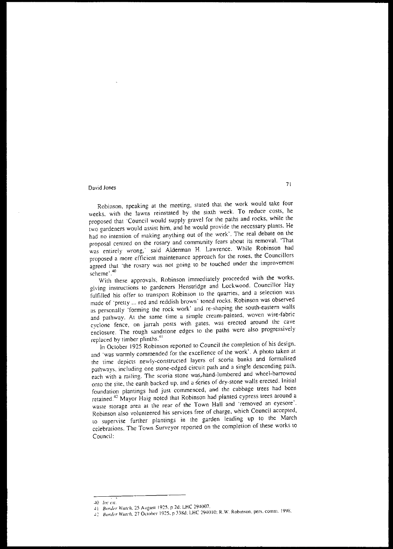# David Jones **7**<sup>1</sup>

Robinson, speaking at the meeting, stated that the work would take four weeks. with the lawns reinstated by the sixth week. To reduce costs, he proposed that 'Council would supply gravel for the paths and rocks, while the two gardeners would assist him, and he would provide the necessary plants. He had no intention of making anything out of the work'. The real debate on the proposal centred on the rosary and community fears about its removal. 'That was entirely wrong,' said Alderman H. Lawrence. While Robinson had proposed a more efficient maintenance approach for the roses, the Councillors agreed that 'the rosary was not going to be touched under the improvement scheme' .<sup>40</sup>

With these approvals, Robinson immediately proceeded with the works. giving instructions to gardeners Henstridge and Lockwood. Councillor Hay fulfilled his offer to transport Robinson to the quarries, and a selection was made of 'pretty ... red and reddish brown' toned rocks. Robinson was observed as personally 'forming the rock work' and re-shaping the south-eastern walls and pathway. At the same time a simple cream-painted, woven wire·fabric cyclone fence, on jarrah posts with gates, was erected around the cave enclosure. The rough sandstone edges to the paths were also progressively replaced by timber plinths.<sup>41</sup>

In October 1925 Robinson reported to Council the completion of his design, and 'was warmly commended for the excellence of the work'. A photo taken at the time depicts newly~constructed layers of scoria banks and formalised pathways, including one stone-edged circuit path and a single descending path. each with a railing. The scoria stone was hand-lumbered and wheel-barrowed onto the site, the earth backed up, and a series of dry-stone walls erected. Initial foundation plantings had just commenced, and the cabbage trees had been retained.<sup>42</sup> Mayor Haig noted that Robinson had planted cypress trees around a waste storage area at the rear of the Town Hall and 'removed an eyesore'. Robinson also volunteered his services free of charge, which Council accepted, to supervise further plantings in the garden leading up to the March celebrations. The Town Surveyor reponed on the completion of these works to Council:

 $40$  *loc* cit.

<sup>41</sup> *Border Watch*, 25 August 1925, p 2d; LHC 294007.

*<sup>-1</sup>'"' Borda Wu/ch, n* OClOoer 1925. r :ngd: LHC 294010: R.W. Robmson, pers. comm. IY%.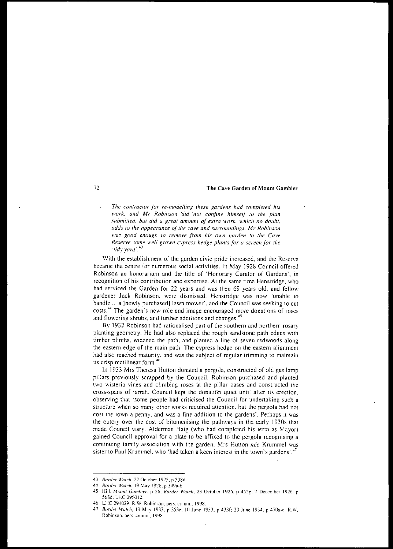*The con/raefOr for re-modelling these gardens had completed his work, and Mr Robinson did -nor confine himself* 10 *the plan submil1ed, but did a great amount of extra work, 'rvhich no doubt, adds* <sup>10</sup> *the appearance of the* CQlle *and surroundings. Mr Robinson was* good enough to remove from his own garden to the Cave *Reserve some* well grown *cypress hedge plants* for *a screen* for *the 'lid." yara,.43*

With the establishment of the garden civic pride increased, and the Reserve became the centre for numerous social activities. In May 1928 Council offered Robinson an honorarium and the title of 'Honorary Curator of Gardens', in recognition of his contribution and expertise. At the same time Henstridge, who had serviced the Garden for 22 years and was then 69 years old, and fellow gardener Jack Robinson. were dismissed. Henstridge was now 'unable to handle ... a [newly purchased] lawn mower', and the Council was seeking to cut costs.<sup>44</sup> The garden's new role and image encouraged more donations of roses and flowering shrubs, and further additions and changes.<sup>45</sup>

By 1932 Robinson had rationalised part of the southern and northern rosary planting geometry. He had also replaced the rough sandstone path edges with timber plinths. widened the path, and planted a line of seven redwoods along the eastern edge of the main path. The cypress hedge on the eastern alignment had also reached maturity. and was the subject of regular trimming to maintain its crisp rectilinear form. $46$ 

In 1933 Mrs Theresa Hutton donated a pergola, constructed of old gas lamp pillars previously scrapped by the Coungil. Rohinson purchased and planted two wisteria vines and climbing roses at the pillar bases and constructed the cross-spans of jarrah. Council kept the donati6n quiet until after its erection. observing that 'some people had criticised the Council for undertaking such a structure when so many other works required attention, but the pergola had not cost the town a penny, and was a fine addition to the gardens'. Perhaps it was the outcry over the cost of bitumenising the pathways in the early 1930s that made Council wary. Alderman Haig (who had completed his term as Mayor) gained Council approval for a plate to be affixed 10 the pergola recognising a continuing family association with the garden. Mrs Hutton *nee* Krummel was sister to Paul Krummel, who 'had taken a keen interest in the town's gardens'.<sup>47</sup>

<sup>43</sup> *Border Watch*, 27 October 1925, p 338d.

<sup>44</sup> *Border Watch*, 19 May 1928, p 349a-b.

<sup>~5</sup> Hill. *MOl/ill Gumhif'r.* p 26: *Border Wmch,* 23 October 1926, p 452g; 7 December 1926. p 568d: LHC 295010.

<sup>46</sup> LHC 294029; R.W. Robinson, pers. comm., 1998.<br>47 Border Watch 13 May 1933, p.353e: 10 June 1

Border Watch, 13 May 1933, p 353e: 10 June 1933, p 433f; 23 June 1934, p 470a-c; R.W. Rohinson. pers. comm.. 1998.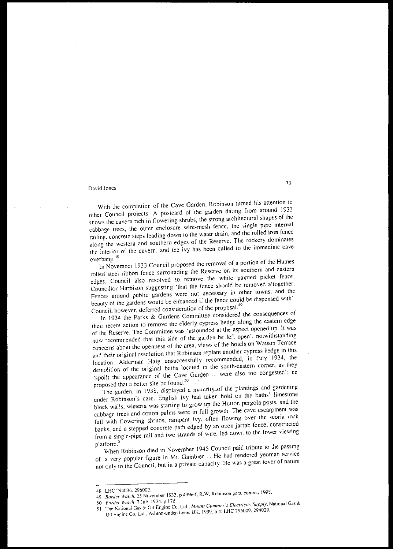With the completion of the Cave Garden. Robinson turned his attention to other Council projects. A postcard of the garden dating from around 1933 shows the cavern rich in flowering shrubs, the strong architectural shapes of the cabbage trees, the outer enclosure wire-mesh fence, the single pipe internal railing. concrete steps leading down to the water drain, and the rolled iron fence along the western and southern edges of the Reserve. The rockery dominates the interior of the cavern, and the ivy has been culled to the immediate cave overhang.4S

In November 1933 Council proposed the removal of a portion of the Humes rolled steel ribbon fence surrounding the Reserve on its southern and eastern edges. Council also resolved to remove the white painted picket fence, Councillor Harbison suggesting 'that the fence should be removed altogether. Fences around public gardens were not necessary in other towns, and the beauty of the gardens would be enhanced if the fence could be dispensed with'. Council. however, deferred consideration of the proposa1.<sup>49</sup>

In 1934 the Parks & Gardens Committee considered the consequences of their recent action to remove the elderly cypress hedge along the eastern edge of the Reserve. The Committee was 'astounded at the aspect opened up. It was now recommended that this side of the garden be left open', notwithstanding concerns about the openness of the area, views of the hotels on Watson Terrace and their original resolution that Robinson replant another cypress hedge in this location. Alderman Haig unsuccessfully recommended, in July 1934, the demolition of the original baths located in the south-eastern corner, as they 'spoilt the appearance of the Cave Garden ... were also too congested': he proposed that a better site be found. 5o

The garden. in 1938, displayed a maturity of the plantings and gardening under Robinson's care. English ivy had taken hold on the baths' limestone block walls, wisteria was starting to grow up the Hutton pergola posts, and the cabbage trees and cotton palms were in full growth. The cave escarpment was full wilh flowering shrubs, rampant ivy. often flowing over the scoria rock banks, and a stepped concrete path edged by an open jarrah fence, constructed from a single-pipe rail and two strands of wire, led down to the lower viewing

platform.<sup>51</sup><br>When Robinson died in November 1945 Council paid tribute to the passing of ·a very popular figure in Mt. Gambier ... He had rendered yeoman service not only to the Council, but in a private capacity. He was a great lover of nature

<sup>~8</sup> LHC ~94036< 296002.

<sup>49</sup> *Border Watch*, 25 November 1933, p 439e-f; R.W. Robinson pers. comm., 1998.

*<sup>50</sup> Border Watch, 7 July 1934, p 17d.* 

<sup>)]</sup> The )\,llional Ga~ & Oil Engine Co. Ltd.. *MOU/l1 Cumhin's Elt'C/ricity Supply,* National Gas &

Oil Engine Co. Ltd., Ashton-under-Lyne, UK. 1939. p 4; LHC 295009. 294029.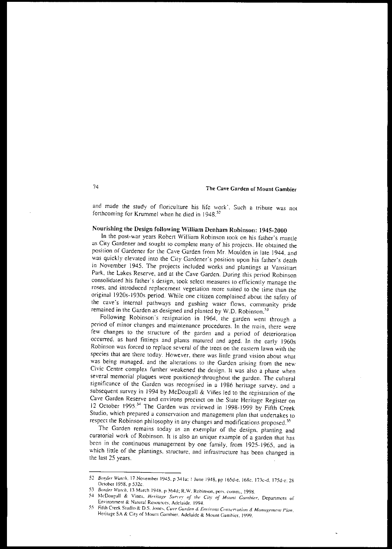and made the study of floriculture his life work', Such a tribute was not forthcoming for Krummel when he died in 1948.<sup>52</sup>

# Nourishing the Design following WiIliam Denham Robinson: 1945-2000

In the post-war years Robert William Robinson look on his father's mantle as City Gardener and sought to complete many of his projects. He obtained the position of Gardener for the Cave Garden from Mr. Moulden in late 1944. and was quickly elevated into the City Gardener"s position upon his father's death in November 1945. The projects included works and plantings at Vansittart Park, the Lakes Reserve, and at the Cave Garden. During this period Robinson consolidated his father's design. took select measures la efficiently manage the roses, and introduced replacement vegetation more suited to the time than the original 1920s-1930s period. While one citizen complained about the safety of the cave's internal pathways and gushing water flows, community pride remained in the Garden as designed and planted by W.D. Robinson.<sup>51</sup>

Following Robinson's resignation in 1964, the garden went through a period of minor changes and maintenance procedures. In the main, there were few changes to the structure of the garden and a period of deterioration occurred, as hard fittings and plants matured and aged. In the early 1960s Robinson was forced to replace several of the trees on the eastern lawn with the species that are there today. However, there was little grand vision about what was being managed, and the alterations to the Garden arising from the new Civic Centre complex further weakened the design. It was also a phase when several memorial plaques were positioned throughout the garden. The cultural significance of the Garden was recognised in a 1986 heritage survey, and a subsequent survey in 1994 by McDougall & Viñes led to the registration of the Cave Garden Reserve and environs precinct on lhe State Heritage Register on 12 October 1995.<sup>54</sup> The Garden was reviewed in 1998-1999 by Fifth Creek Studio, which prepared a conservation and management plan that undertakes to respect the Robinson philosophy in any changes and modifications proposed.<sup>55</sup>

The Garden remains today as an exemplar of the design, planting and curatorial work of Robinson. It is also an unique example of a garden that has been in the continuous management by one family, from 1925-1965, and in which little of the plantings, structure, and infrastructure has been changed in the last 25 years.

<sup>52</sup> Border Watch, 17 November 1945, p 341a; 1 June 1948, pp 165d-e, 168c, 173c-d, 175d-e; 28 OCloner 1958, p 532c.

<sup>53</sup> Border Watch, 13 March 1948, p 364d; R.W. Robinson, pers. comm., 1998.

<sup>54</sup> McDougall & Vines. Heritage Survey of the City of Mount Gambier, Department of Environment & Natural Resources, Adelaide, 1994.

<sup>55</sup> Fifth Creek Studio & D.S. Jones. Cave Garden & Environs Conservation & Management Plan. Heritage SA & City of Mount Gambier. Adelaide & Mount Gambier. 1999.